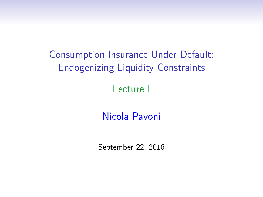Consumption Insurance Under Default: Endogenizing Liquidity Constraints Lecture I

Nicola Pavoni

September 22, 2016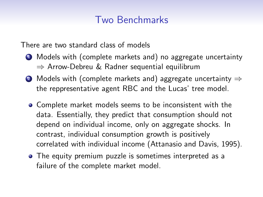# Two Benchmarks

There are two standard class of models

- <sup>1</sup> Models with (complete markets and) no aggregate uncertainty ⇒ Arrow-Debreu & Radner sequential equilibrum
- 2 Models with (complete markets and) aggregate uncertainty  $\Rightarrow$ the reppresentative agent RBC and the Lucas' tree model.
	- Complete market models seems to be inconsistent with the data. Essentially, they predict that consumption should not depend on individual income, only on aggregate shocks. In contrast, individual consumption growth is positively correlated with individual income (Attanasio and Davis, 1995).
	- The equity premium puzzle is sometimes interpreted as a failure of the complete market model.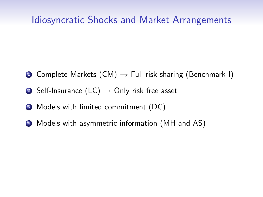#### Idiosyncratic Shocks and Market Arrangements

- **1** Complete Markets  $(CM) \rightarrow$  Full risk sharing (Benchmark I)
- 2 Self-Insurance (LC)  $\rightarrow$  Only risk free asset
- **3** Models with limited commitment (DC)
- <sup>4</sup> Models with asymmetric information (MH and AS)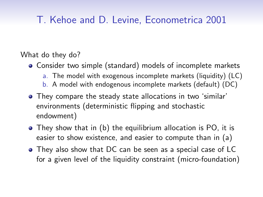# T. Kehoe and D. Levine, Econometrica 2001

What do they do?

- Consider two simple (standard) models of incomplete markets
	- a. The model with exogenous incomplete markets (liquidity) (LC)
	- b. A model with endogenous incomplete markets (default) (DC)
- They compare the steady state allocations in two 'similar' environments (deterministic flipping and stochastic endowment)
- They show that in (b) the equilibrium allocation is PO, it is easier to show existence, and easier to compute than in (a)
- They also show that DC can be seen as a special case of LC for a given level of the liquidity constraint (micro-foundation)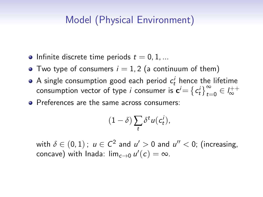# Model (Physical Environment)

- Infinite discrete time periods  $t = 0, 1, ...$
- Two type of consumers  $i = 1, 2$  (a continuum of them)
- A single consumption good each period  $c_t^i$  hence the lifetime consumption vector of type *i* consumer is  $\mathbf{c}^i = \{c_t^i\}_{t=0}^\infty \in I_\infty^{++}$
- Preferences are the same across consumers:

$$
(1-\delta)\sum_t \delta^t u(c_t^i),
$$

with  $\delta \in (0,1)$  ;  $u \in \mathcal{C}^2$  and  $u' > 0$  and  $u'' < 0$ ; (increasing, concave) with Inada:  $\lim_{c\to 0} u'(c) = \infty$ .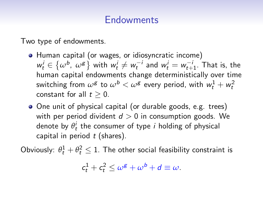# **Endowments**

Two type of endowments.

- Human capital (or wages, or idiosyncratic income)  $w_t^i \in \{\omega^b, \omega^g\}$  with  $w_t^i \neq w_t^{-i}$  and  $w_t^i = w_{t+1}^{-i}$ . That is, the human capital endowments change deterministically over time switching from  $\omega^\mathsf{g}$  to  $\omega^\mathsf{b} < \omega^\mathsf{g}$  every period, with  $w_t^1 + w_t^2$ constant for all  $t > 0$ .
- One unit of physical capital (or durable goods, e.g. trees) with per period divident  $d > 0$  in consumption goods. We denote by  $\theta_t^i$  the consumer of type  $i$  holding of physical capital in period  $t$  (shares).

Obviously:  $\theta_t^1 + \theta_t^2 \leq 1$ . The other social feasibility constraint is

$$
c_t^1 + c_t^2 \le \omega^g + \omega^b + d \equiv \omega.
$$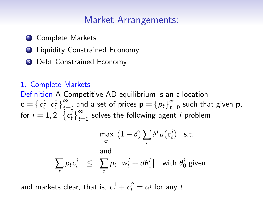# Market Arrangements:

- **1** Complete Markets
- <sup>2</sup> Liquidity Constrained Economy
- <sup>3</sup> Debt Constrained Economy

#### 1. Complete Markets

Definition A Competitive AD-equilibrium is an allocation  $\mathbf{c} = \left\{ c_t^1, c_t^2 \right\}_{t=0}^{\infty}$  and a set of prices  $\mathbf{p} = \left\{ p_t \right\}_{t=0}^{\infty}$  $\sum_{t=0}^{\infty}$  such that given **p**, for  $i = 1, 2, \{c_t^i\}_{t=0}^{\infty}$  solves the following agent i problem

$$
\max_{\mathbf{c}^i} (1 - \delta) \sum_t \delta^t u(c_t^i) \text{ s.t.}
$$
  
and  

$$
\sum_t p_t c_t^i \leq \sum_t p_t \left[ w_t^i + d\theta_0^i \right], \text{ with } \theta_0^i \text{ given.}
$$

and markets clear, that is,  $c_t^1 + c_t^2 = \omega$  for any t.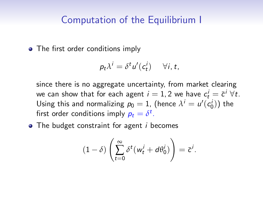#### Computation of the Equilibrium I

• The first order conditions imply

$$
p_t \lambda^i = \delta^t u'(c_t^i) \quad \forall i, t,
$$

since there is no aggregate uncertainty, from market clearing we can show that for each agent  $i=1,2$  we have  $c_t^i = \bar{c}^i \; \forall t.$ Using this and normalizing  $p_0 = 1$ , (hence  $\lambda^i = u'(c_0^i)$ ) the first order conditions imply  $p_t = \delta^t$ .

 $\bullet$  The budget constraint for agent *i* becomes

$$
(1-\delta)\left(\sum_{t=0}^{\infty}\delta^{t}(w_{t}^{i}+d\theta_{0}^{i})\right)=\bar{c}^{i}.
$$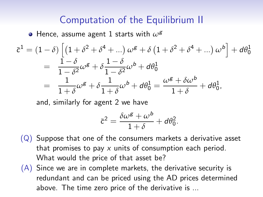### Computation of the Equilibrium II

• Hence, assume agent 1 starts with  $\omega^g$ 

$$
\bar{c}^1 = (1 - \delta) \left[ \left( 1 + \delta^2 + \delta^4 + \ldots \right) \omega^g + \delta \left( 1 + \delta^2 + \delta^4 + \ldots \right) \omega^b \right] + d\theta_0^1
$$
  
= 
$$
\frac{1 - \delta}{1 - \delta^2} \omega^g + \delta \frac{1 - \delta}{1 - \delta^2} \omega^b + d\theta_0^1
$$
  
= 
$$
\frac{1}{1 + \delta} \omega^g + \delta \frac{1}{1 + \delta} \omega^b + d\theta_0^1 = \frac{\omega^g + \delta \omega^b}{1 + \delta} + d\theta_0^1,
$$

and, similarly for agent 2 we have

$$
\bar{c}^2 = \frac{\delta \omega^g + \omega^b}{1 + \delta} + d\theta_0^2.
$$

- $(Q)$  Suppose that one of the consumers markets a derivative asset that promises to pay  $x$  units of consumption each period. What would the price of that asset be?
- (A) Since we are in complete markets, the derivative security is redundant and can be priced using the AD prices determined above. The time zero price of the derivative is ...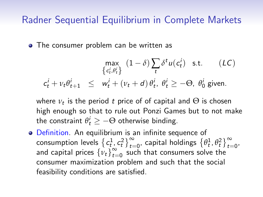# Radner Sequential Equilibrium in Complete Markets

• The consumer problem can be written as

$$
\max_{\{c_t^i, \theta_t^i\}} (1 - \delta) \sum_t \delta^t u(c_t^i) \text{ s.t. } (LC)
$$
  

$$
c_t^i + \nu_t \theta_{t+1}^i \leq w_t^i + (\nu_t + d) \theta_t^i, \ \theta_t^i \geq -\Theta, \ \theta_0^i \text{ given.}
$$

where  $v_t$  is the period  $t$  price of of capital and  $\Theta$  is chosen high enough so that to rule out Ponzi Games but to not make the constraint  $\theta_t^i \geq -\Theta$  otherwise binding.

Definition. An equilibrium is an infinite sequence of consumption levels  $\left\{c_t^1, c_t^2\right\}_{t=0}^{\infty}$ , capital holdings  $\left\{\theta_t^1, \theta_t^2\right\}_{t=0}^{\infty}$ and capital prices  $\{v_t\}_{t=1}^{\infty}$  $\sum_{t=0}^{\infty}$  such that consumers solve the consumer maximization problem and such that the social feasibility conditions are satisfied.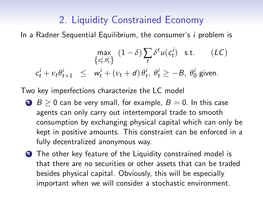# 2. Liquidity Constrained Economy

In a Radner Sequential Equilibrium, the consumer's *i* problem is

$$
\max_{\left\{c_t^i, \theta_t^i\right\}} (1 - \delta) \sum_t \delta^t u(c_t^i) \text{ s.t. } (LC)
$$
  

$$
c_t^i + \nu_t \theta_{t+1}^i \leq w_t^i + (\nu_t + d) \theta_t^i, \ \theta_t^i \geq -B, \ \theta_0^i \text{ given.}
$$

Two key imperfections characterize the LC model

- 1  $B > 0$  can be very small, for example,  $B = 0$ . In this case agents can only carry out intertemporal trade to smooth consumption by exchanging physical capital which can only be kept in positive amounts. This constraint can be enforced in a fully decentralized anonymous way.
- 2 The other key feature of the Liquidity constrained model is that there are no securities or other assets that can be traded besides physical capital. Obviously, this will be especially important when we will consider a stochastic environment.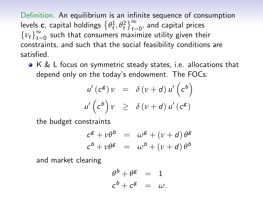Definition. An equilibrium is an infinite sequence of consumption levels **c**, capital holdings  $\{\theta_t^1, \theta_t^2\}_{t=0}^{\infty}$ , and capital prices  $\{v_t\}_{t=0}^{\infty}$  $\sum_{t=0}^{\infty}$  such that consumers maximize utility given their constraints, and such that the social feasibility conditions are satisfied.

K & L focus on symmetric steady states, i.e. allocations that depend only on the today's endowment. The FOCs:

$$
u'(c^g) v = \delta(v+d) u'(c^b)
$$
  

$$
u'(c^b) v \geq \delta(v+d) u'(c^g)
$$

the budget constraints

$$
c^{g} + v\theta^{b} = \omega^{g} + (v + d)\theta^{g}
$$
  

$$
c^{b} + v\theta^{g} = \omega^{b} + (v + d)\theta^{b}
$$

and market clearing

$$
\begin{aligned}\n\theta^b + \theta^g &= 1 \\
c^b + c^g &= \omega.\n\end{aligned}
$$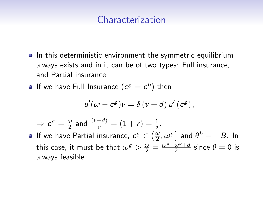## Characterization

- **•** In this deterministic environment the symmetric equilibrium always exists and in it can be of two types: Full insurance, and Partial insurance.
- If we have Full Insurance  $(c^g=c^b)$  then

$$
u'(\omega - c^g)v = \delta(v + d) u'(c^g),
$$

$$
\Rightarrow c^{\mathsf{g}} = \frac{\omega}{2} \text{ and } \frac{(\nu + d)}{\nu} = (1 + r) = \frac{1}{\delta}.
$$

If we have Partial insurance,  $c^g \in \left(\frac{\omega}{2}, \omega^g \right]$  and  $\theta^b = -B$ . In this case, it must be that  $\omega^{\mathcal{g}} > \frac{\omega}{2} = \frac{\omega^{\mathcal{g}} + \omega^{\mathcal{b}} + d}{2}$  since  $\theta = 0$  is always feasible.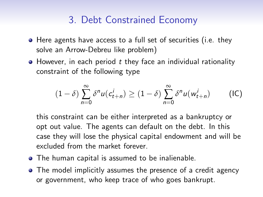# 3. Debt Constrained Economy

- Here agents have access to a full set of securities (i.e. they solve an Arrow-Debreu like problem)
- $\bullet$  However, in each period  $t$  they face an individual rationality constraint of the following type

$$
(1 - \delta) \sum_{n=0}^{\infty} \delta^n u(c_{t+n}^i) \ge (1 - \delta) \sum_{n=0}^{\infty} \delta^n u(w_{t+n}^i)
$$
 (IC)

this constraint can be either interpreted as a bankruptcy or opt out value. The agents can default on the debt. In this case they will lose the physical capital endowment and will be excluded from the market forever.

- The human capital is assumed to be inalienable.
- The model implicitly assumes the presence of a credit agency or government, who keep trace of who goes bankrupt.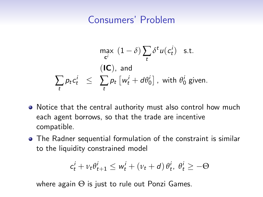# Consumers' Problem

$$
\max_{\mathbf{c}^i} (1 - \delta) \sum_t \delta^t u(c_t^i) \text{ s.t.}
$$
\n
$$
\sum_t p_t c_t^i \leq \sum_t p_t \left[ w_t^i + d\theta_0^i \right], \text{ with } \theta_0^i \text{ given.}
$$

- Notice that the central authority must also control how much each agent borrows, so that the trade are incentive compatible.
- The Radner sequential formulation of the constraint is similar to the liquidity constrained model

$$
c_t^i + \nu_t \theta_{t+1}^i \leq w_t^i + (\nu_t + d) \theta_t^i, \ \theta_t^i \geq -\Theta
$$

where again  $\Theta$  is just to rule out Ponzi Games.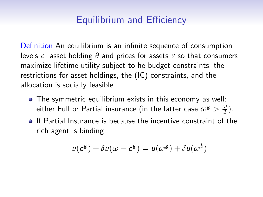# Equilibrium and Efficiency

Definition An equilibrium is an infinite sequence of consumption levels c, asset holding *θ* and prices for assets *ν* so that consumers maximize lifetime utility subject to he budget constraints, the restrictions for asset holdings, the (IC) constraints, and the allocation is socially feasible.

- The symmetric equilibrium exists in this economy as well: either Full or Partial insurance (in the latter case  $\omega^{\mathcal{g}} > \frac{\omega}{2}$ ).
- **If Partial Insurance is because the incentive constraint of the** rich agent is binding

$$
u(c^g) + \delta u(\omega - c^g) = u(\omega^g) + \delta u(\omega^b)
$$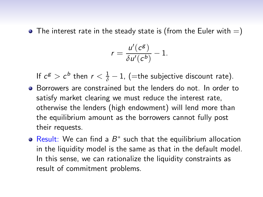$\bullet$  The interest rate in the steady state is (from the Euler with  $=$ )

$$
r=\frac{u'(c^g)}{\delta u'(c^b)}-1.
$$

If  $c^g > c^b$  then  $r < \frac{1}{\delta} - 1$ , (=the subjective discount rate).

- Borrowers are constrained but the lenders do not. In order to satisfy market clearing we must reduce the interest rate, otherwise the lenders (high endowment) will lend more than the equilibrium amount as the borrowers cannot fully post their requests.
- Result: We can find a  $B^*$  such that the equilibrium allocation in the liquidity model is the same as that in the default model. In this sense, we can rationalize the liquidity constraints as result of commitment problems.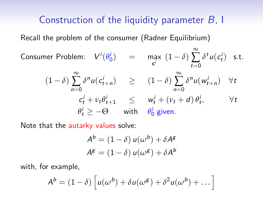#### Construction of the liquidity parameter B, I

Recall the problem of the consumer (Radner Equilibrium)

Consumer Problem:  $V^{i}(\theta_0^i)$  = max  $(1 - \delta)$ ∞ ∑  $t=0$  $\delta^t u(c_t^i)$  s.t.  $(1 - \delta)$ ∞ ∑  $n=0$  $\delta^n u(c_{t+n}^i) \geq (1-\delta)$ ∞ ∑  $n=0$  $\delta^n u(w_{t+n}^i)$   $\forall t$  $c_t^i + v_t \theta_{t+1}^i \leq w_t^i + (v_t + d) \theta_t^i, \qquad \forall t$  $\theta_t^i \geq -\Theta$  with  $\theta_0^i$  given.

Note that the autarky values solve:

$$
A^{b} = (1 - \delta) u(\omega^{b}) + \delta A^{g}
$$

$$
A^{g} = (1 - \delta) u(\omega^{g}) + \delta A^{b}
$$

with, for example,

$$
A^{b} = (1 - \delta) \left[ u(\omega^{b}) + \delta u(\omega^{g}) + \delta^{2} u(\omega^{b}) + \dots \right]
$$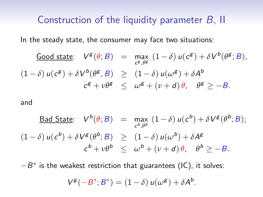#### Construction of the liquidity parameter B, II

In the steady state, the consumer may face two situations:

\n
$$
\text{Good state:} \quad V^g(\theta; B) = \max_{c^g, \theta^g} (1 - \delta) u(c^g) + \delta V^b(\theta^g; B),
$$
\n

\n\n $(1 - \delta) u(c^g) + \delta V^b(\theta^g, B) \geq (1 - \delta) u(\omega^g) + \delta A^b$ \n

\n\n $c^g + v \theta^g \leq \omega^g + (v + d) \theta, \quad \theta^g \geq -B.$ \n

and

$$
\underline{\text{Bad State:}} \quad V^b(\theta; B) = \max_{c^b, \theta^b} (1 - \delta) u(c^b) + \delta V^g(\theta^b; B);
$$
\n
$$
(1 - \delta) u(c^b) + \delta V^g(\theta^b; B) \ge (1 - \delta) u(\omega^b) + \delta A^g
$$
\n
$$
c^b + v\theta^b \le \omega^b + (v + d)\theta, \quad \theta^b \ge -B.
$$

 $-B^*$  is the weakest restriction that guarantees (IC), it solves:

$$
V^{\mathsf{g}}(-B^*;B^*)=(1-\delta) u(\omega^{\mathsf{g}})+\delta A^{\mathsf{b}}.
$$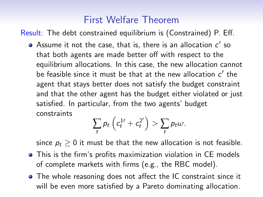# First Welfare Theorem

Result: The debt constrained equilibrium is (Constrained) P. Eff.

Assume it not the case, that is, there is an allocation  $c^\prime$  so that both agents are made better off with respect to the equilibrium allocations. In this case, the new allocation cannot be feasible since it must be that at the new allocation  $c^\prime$  the agent that stays better does not satisfy the budget constraint and that the other agent has the budget either violated or just satisfied. In particular, from the two agents' budget constraints

$$
\sum_t p_t \left( c_t^{1\prime} + c_t^{2\prime} \right) > \sum_t p_t \omega.
$$

since  $p_t \geq 0$  it must be that the new allocation is not feasible.

- This is the firm's profits maximization violation in CE models of complete markets with firms (e.g., the RBC model).
- The whole reasoning does not affect the IC constraint since it will be even more satisfied by a Pareto dominating allocation.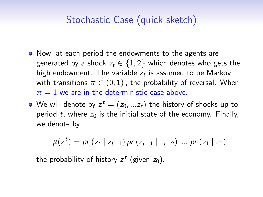# Stochastic Case (quick sketch)

- Now, at each period the endowments to the agents are generated by a shock  $z_t \in \{1,2\}$  which denotes who gets the high endowment. The variable  $z_t$  is assumed to be Markov with transitions  $\pi \in (0,1)$ , the probability of reversal. When  $\pi = 1$  we are in the deterministic case above.
- We will denote by  $z^t = (z_0, ... z_t)$  the history of shocks up to period t, where  $z_0$  is the initial state of the economy. Finally, we denote by

$$
\mu(z^t) = pr(z_t | z_{t-1}) pr(z_{t-1} | z_{t-2}) \dots pr(z_1 | z_0)
$$

the probability of history  $z^t$  (given  $z_0$ ).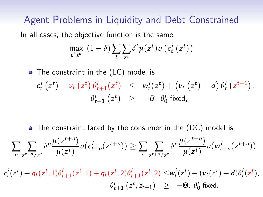## Agent Problems in Liquidity and Debt Constrained

In all cases, the objective function is the same:

$$
\max_{\mathbf{c}^i, \theta^i} (1-\delta) \sum_{t} \sum_{z^t} \delta^t \mu(z^t) u\left(c_t^i\left(z^t\right)\right)
$$

• The constraint in the (LC) model is

$$
c_t^i(z^t) + \nu_t(z^t) \theta_{t+1}^i(z^t) \leq w_t^i(z^t) + (\nu_t(z^t) + d) \theta_t^i(z^{t-1}),
$$
  

$$
\theta_{t+1}^i(z^t) \geq -B, \theta_0^i \text{ fixed},
$$

• The constraint faced by the consumer in the (DC) model is

$$
\sum_{n} \sum_{z^{t+n}/z^{t}} \delta^{n} \frac{\mu(z^{t+n})}{\mu(z^{t})} u(c_{t+n}^{i}(z^{t+n})) \geq \sum_{n} \sum_{z^{t+n}/z^{t}} \delta^{n} \frac{\mu(z^{t+n})}{\mu(z^{t})} u(w_{t+n}^{i}(z^{t+n}))
$$

 $c_t^i(z^t) + q_t(z^t, 1)\theta_{t+1}^i(z^t, 1) + q_t(z^t, 2)\theta_{t+1}^i(z^t, 2) \leq w_t^i(z^t) + (v_t(z^t) + d)\theta_t^i(z^t),$  $\theta^i_{t+1}$   $(z^t, z_{t+1})$   $\geq$   $-\Theta$ ,  $\theta^i_0$  fixed.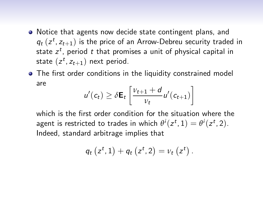- Notice that agents now decide state contingent plans, and  $q_t\left(z^t, z_{t+1}\right)$  is the price of an Arrow-Debreu security traded in state  $z^t$ , period  $t$  that promises a unit of physical capital in state  $(z^t, z_{t+1})$  next period.
- The first order conditions in the liquidity constrained model are

$$
u'(c_t) \geq \delta \mathbf{E}_t \left[ \frac{v_{t+1} + d}{v_t} u'(c_{t+1}) \right]
$$

which is the first order condition for the situation where the agent is restricted to trades in which  $\theta^i(z^t, 1) = \theta^i(z^t, 2)$ . Indeed, standard arbitrage implies that

$$
q_t(z^t, 1) + q_t(z^t, 2) = v_t(z^t).
$$